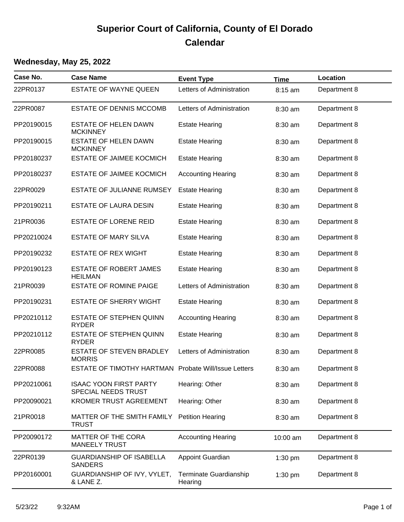## **Superior Court of California, County of El Dorado Calendar**

## **Wednesday, May 25, 2022**

| Case No.   | <b>Case Name</b>                                     | <b>Event Type</b>                 | <b>Time</b> | Location     |
|------------|------------------------------------------------------|-----------------------------------|-------------|--------------|
| 22PR0137   | <b>ESTATE OF WAYNE QUEEN</b>                         | Letters of Administration         | 8:15 am     | Department 8 |
| 22PR0087   | <b>ESTATE OF DENNIS MCCOMB</b>                       | Letters of Administration         | 8:30 am     | Department 8 |
| PP20190015 | <b>ESTATE OF HELEN DAWN</b><br><b>MCKINNEY</b>       | <b>Estate Hearing</b>             | 8:30 am     | Department 8 |
| PP20190015 | <b>ESTATE OF HELEN DAWN</b><br><b>MCKINNEY</b>       | <b>Estate Hearing</b>             | 8:30 am     | Department 8 |
| PP20180237 | <b>ESTATE OF JAIMEE KOCMICH</b>                      | <b>Estate Hearing</b>             | 8:30 am     | Department 8 |
| PP20180237 | <b>ESTATE OF JAIMEE KOCMICH</b>                      | <b>Accounting Hearing</b>         | 8:30 am     | Department 8 |
| 22PR0029   | ESTATE OF JULIANNE RUMSEY                            | <b>Estate Hearing</b>             | 8:30 am     | Department 8 |
| PP20190211 | <b>ESTATE OF LAURA DESIN</b>                         | <b>Estate Hearing</b>             | 8:30 am     | Department 8 |
| 21PR0036   | <b>ESTATE OF LORENE REID</b>                         | <b>Estate Hearing</b>             | 8:30 am     | Department 8 |
| PP20210024 | <b>ESTATE OF MARY SILVA</b>                          | <b>Estate Hearing</b>             | 8:30 am     | Department 8 |
| PP20190232 | <b>ESTATE OF REX WIGHT</b>                           | <b>Estate Hearing</b>             | 8:30 am     | Department 8 |
| PP20190123 | <b>ESTATE OF ROBERT JAMES</b><br><b>HEILMAN</b>      | <b>Estate Hearing</b>             | 8:30 am     | Department 8 |
| 21PR0039   | ESTATE OF ROMINE PAIGE                               | Letters of Administration         | 8:30 am     | Department 8 |
| PP20190231 | ESTATE OF SHERRY WIGHT                               | <b>Estate Hearing</b>             | 8:30 am     | Department 8 |
| PP20210112 | ESTATE OF STEPHEN QUINN<br><b>RYDER</b>              | <b>Accounting Hearing</b>         | 8:30 am     | Department 8 |
| PP20210112 | ESTATE OF STEPHEN QUINN<br><b>RYDER</b>              | <b>Estate Hearing</b>             | 8:30 am     | Department 8 |
| 22PR0085   | ESTATE OF STEVEN BRADLEY<br><b>MORRIS</b>            | Letters of Administration         | 8:30 am     | Department 8 |
| 22PR0088   | ESTATE OF TIMOTHY HARTMAN Probate Will/Issue Letters |                                   | 8:30 am     | Department 8 |
| PP20210061 | <b>ISAAC YOON FIRST PARTY</b><br>SPECIAL NEEDS TRUST | Hearing: Other                    | 8:30 am     | Department 8 |
| PP20090021 | <b>KROMER TRUST AGREEMENT</b>                        | Hearing: Other                    | 8:30 am     | Department 8 |
| 21PR0018   | MATTER OF THE SMITH FAMILY<br><b>TRUST</b>           | <b>Petition Hearing</b>           | 8:30 am     | Department 8 |
| PP20090172 | <b>MATTER OF THE CORA</b><br><b>MANEELY TRUST</b>    | <b>Accounting Hearing</b>         | 10:00 am    | Department 8 |
| 22PR0139   | <b>GUARDIANSHIP OF ISABELLA</b><br><b>SANDERS</b>    | <b>Appoint Guardian</b>           | $1:30$ pm   | Department 8 |
| PP20160001 | GUARDIANSHIP OF IVY, VYLET,<br>& LANE Z.             | Terminate Guardianship<br>Hearing | 1:30 pm     | Department 8 |